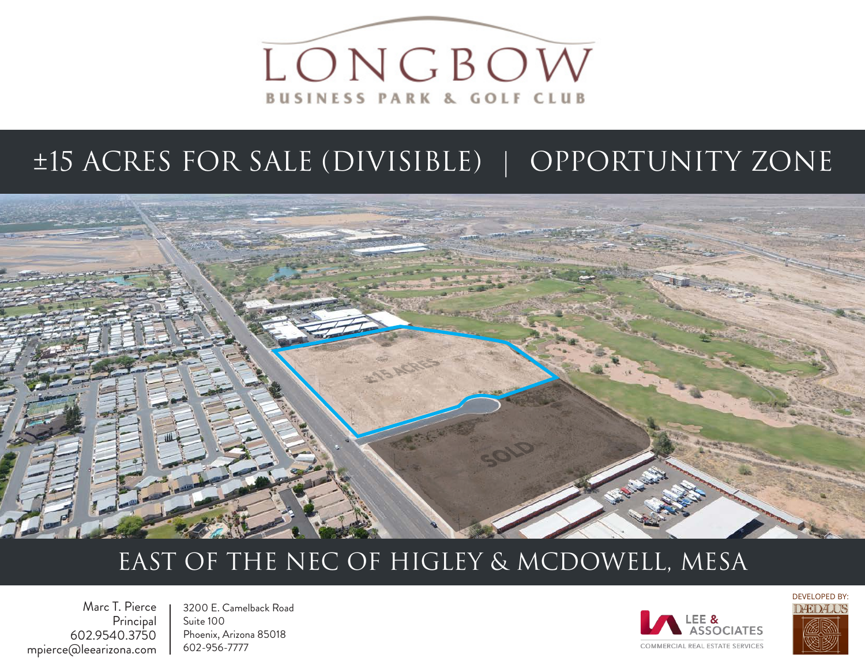

## ±15 ACRES FOR SALE (DIVISIBLE) | OPPORTUNITY ZONE



### EAST OF THE NEC OF HIGLEY & MCDOWELL, MESA

Marc T. Pierce Principal 602.9540.3750 mpierce@leearizona.com

3200 E. Camelback Road Suite 100 Phoenix, Arizona 85018 602-956-7777



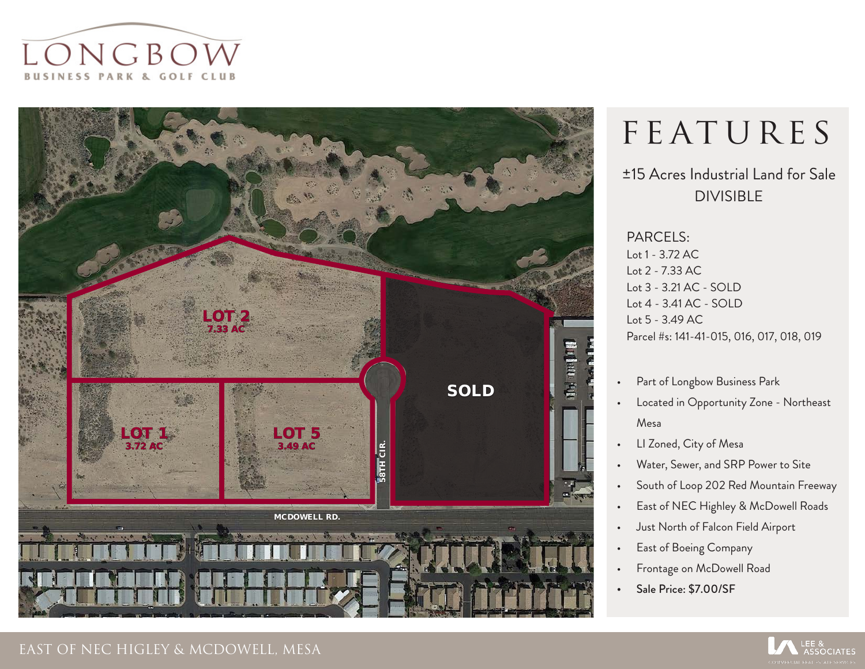



# FEATURES

### ±15 Acres Industrial Land for Sale DIVISIBLE

PARCELS: Lot 1 - 3.72 AC Lot 2 - 7.33 AC Lot 3 - 3.21 AC - SOLD Lot 4 - 3.41 AC - SOLD Lot 5 - 3.49 AC Parcel #s: 141-41-015, 016, 017, 018, 019

- Part of Longbow Business Park
- Located in Opportunity Zone Northeast Mesa
- LI Zoned, City of Mesa
- Water, Sewer, and SRP Power to Site
- South of Loop 202 Red Mountain Freeway
- East of NEC Highley & McDowell Roads
- Just North of Falcon Field Airport
- East of Boeing Company
- Frontage on McDowell Road
- Sale Price: \$7.00/SF

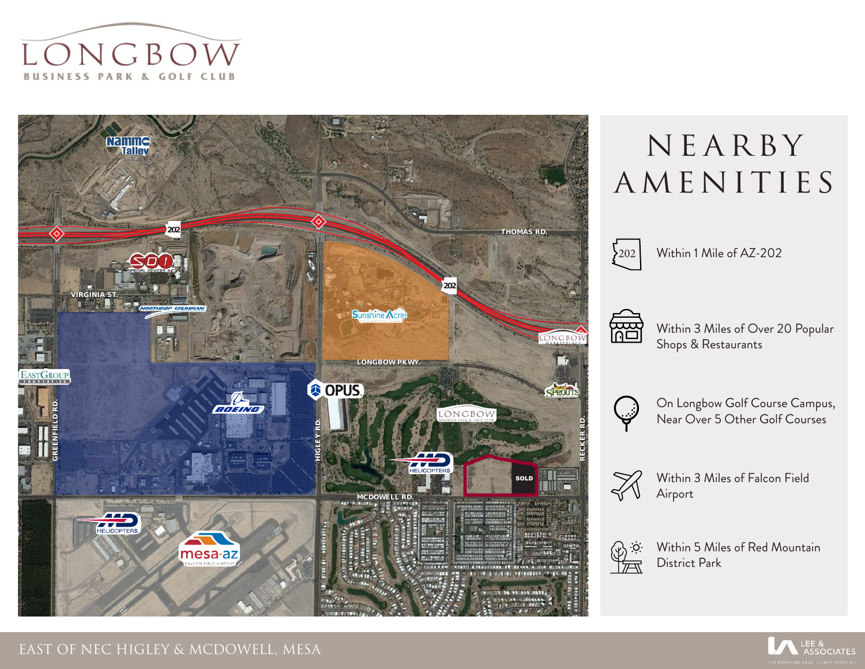



## NE ARBY AMENITIES



 $202$  Within 1 Mile of AZ-202



Within 3 Miles of Over 20 Popular Shops & Restaurants



On Longbow Golf Course Campus, Near Over 5 Other Golf Courses



Within 3 Miles of Falcon Field Airport



Within 5 Miles of Red Mountain District Park

**ASSOCIATES**